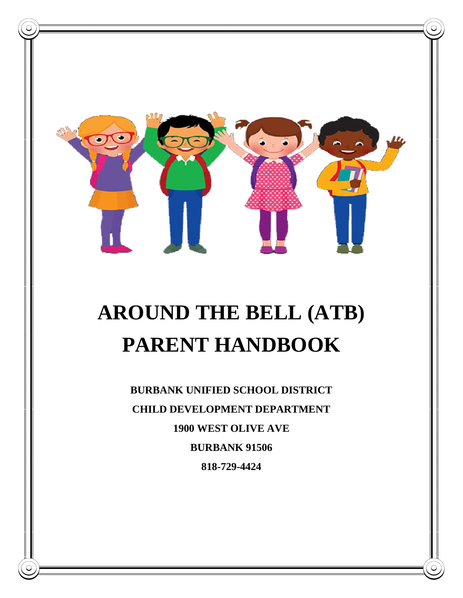

# **AROUND THE BELL (ATB) PARENT HANDBOOK**

**BURBANK UNIFIED SCHOOL DISTRICT CHILD DEVELOPMENT DEPARTMENT 1900 WEST OLIVE AVE BURBANK 91506 818-729-4424**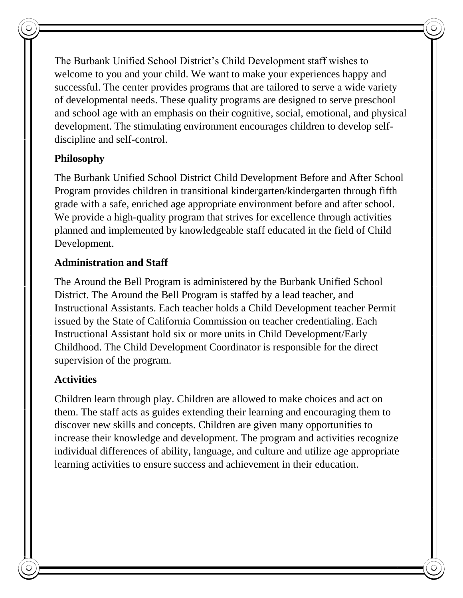The Burbank Unified School District's Child Development staff wishes to welcome to you and your child. We want to make your experiences happy and successful. The center provides programs that are tailored to serve a wide variety of developmental needs. These quality programs are designed to serve preschool and school age with an emphasis on their cognitive, social, emotional, and physical development. The stimulating environment encourages children to develop selfdiscipline and self-control.

# **Philosophy**

The Burbank Unified School District Child Development Before and After School Program provides children in transitional kindergarten/kindergarten through fifth grade with a safe, enriched age appropriate environment before and after school. We provide a high-quality program that strives for excellence through activities planned and implemented by knowledgeable staff educated in the field of Child Development.

#### **Administration and Staff**

The Around the Bell Program is administered by the Burbank Unified School District. The Around the Bell Program is staffed by a lead teacher, and Instructional Assistants. Each teacher holds a Child Development teacher Permit issued by the State of California Commission on teacher credentialing. Each Instructional Assistant hold six or more units in Child Development/Early Childhood. The Child Development Coordinator is responsible for the direct supervision of the program.

## **Activities**

Children learn through play. Children are allowed to make choices and act on them. The staff acts as guides extending their learning and encouraging them to discover new skills and concepts. Children are given many opportunities to increase their knowledge and development. The program and activities recognize individual differences of ability, language, and culture and utilize age appropriate learning activities to ensure success and achievement in their education.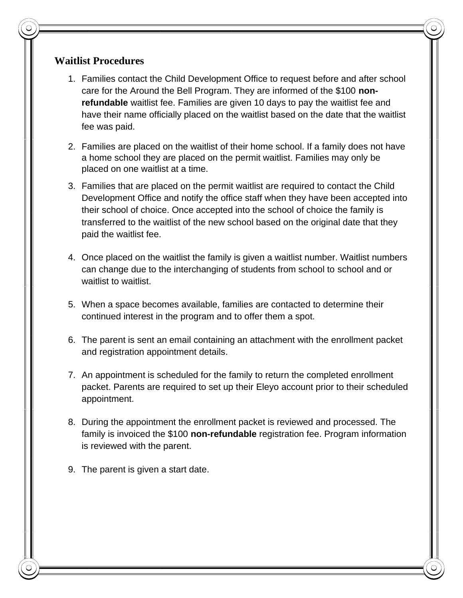#### **Waitlist Procedures**

- 1. Families contact the Child Development Office to request before and after school care for the Around the Bell Program. They are informed of the \$100 **nonrefundable** waitlist fee. Families are given 10 days to pay the waitlist fee and have their name officially placed on the waitlist based on the date that the waitlist fee was paid.
- 2. Families are placed on the waitlist of their home school. If a family does not have a home school they are placed on the permit waitlist. Families may only be placed on one waitlist at a time.
- 3. Families that are placed on the permit waitlist are required to contact the Child Development Office and notify the office staff when they have been accepted into their school of choice. Once accepted into the school of choice the family is transferred to the waitlist of the new school based on the original date that they paid the waitlist fee.
- 4. Once placed on the waitlist the family is given a waitlist number. Waitlist numbers can change due to the interchanging of students from school to school and or waitlist to waitlist.
- 5. When a space becomes available, families are contacted to determine their continued interest in the program and to offer them a spot.
- 6. The parent is sent an email containing an attachment with the enrollment packet and registration appointment details.
- 7. An appointment is scheduled for the family to return the completed enrollment packet. Parents are required to set up their Eleyo account prior to their scheduled appointment.
- 8. During the appointment the enrollment packet is reviewed and processed. The family is invoiced the \$100 **non-refundable** registration fee. Program information is reviewed with the parent.
- 9. The parent is given a start date.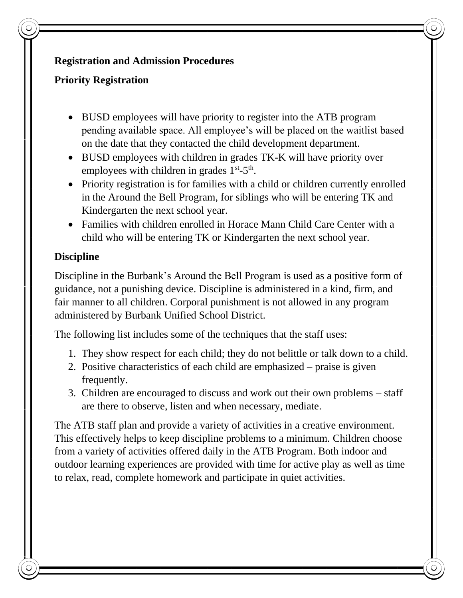## **Registration and Admission Procedures**

# **Priority Registration**

- BUSD employees will have priority to register into the ATB program pending available space. All employee's will be placed on the waitlist based on the date that they contacted the child development department.
- BUSD employees with children in grades TK-K will have priority over employees with children in grades  $1<sup>st</sup> - 5<sup>th</sup>$ .
- Priority registration is for families with a child or children currently enrolled in the Around the Bell Program, for siblings who will be entering TK and Kindergarten the next school year.
- Families with children enrolled in Horace Mann Child Care Center with a child who will be entering TK or Kindergarten the next school year.

# **Discipline**

Discipline in the Burbank's Around the Bell Program is used as a positive form of guidance, not a punishing device. Discipline is administered in a kind, firm, and fair manner to all children. Corporal punishment is not allowed in any program administered by Burbank Unified School District.

The following list includes some of the techniques that the staff uses:

- 1. They show respect for each child; they do not belittle or talk down to a child.
- 2. Positive characteristics of each child are emphasized praise is given frequently.
- 3. Children are encouraged to discuss and work out their own problems staff are there to observe, listen and when necessary, mediate.

The ATB staff plan and provide a variety of activities in a creative environment. This effectively helps to keep discipline problems to a minimum. Children choose from a variety of activities offered daily in the ATB Program. Both indoor and outdoor learning experiences are provided with time for active play as well as time to relax, read, complete homework and participate in quiet activities.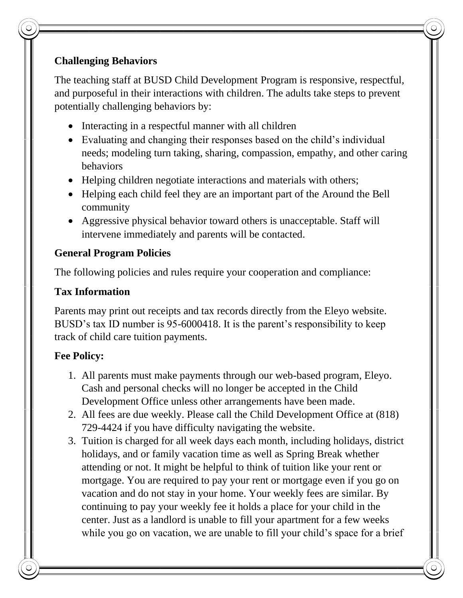# **Challenging Behaviors**

The teaching staff at BUSD Child Development Program is responsive, respectful, and purposeful in their interactions with children. The adults take steps to prevent potentially challenging behaviors by:

- Interacting in a respectful manner with all children
- Evaluating and changing their responses based on the child's individual needs; modeling turn taking, sharing, compassion, empathy, and other caring behaviors
- Helping children negotiate interactions and materials with others;
- Helping each child feel they are an important part of the Around the Bell community
- Aggressive physical behavior toward others is unacceptable. Staff will intervene immediately and parents will be contacted.

## **General Program Policies**

The following policies and rules require your cooperation and compliance:

## **Tax Information**

Parents may print out receipts and tax records directly from the Eleyo website. BUSD's tax ID number is 95-6000418. It is the parent's responsibility to keep track of child care tuition payments.

## **Fee Policy:**

- 1. All parents must make payments through our web-based program, Eleyo. Cash and personal checks will no longer be accepted in the Child Development Office unless other arrangements have been made.
- 2. All fees are due weekly. Please call the Child Development Office at (818) 729-4424 if you have difficulty navigating the website.
- 3. Tuition is charged for all week days each month, including holidays, district holidays, and or family vacation time as well as Spring Break whether attending or not. It might be helpful to think of tuition like your rent or mortgage. You are required to pay your rent or mortgage even if you go on vacation and do not stay in your home. Your weekly fees are similar. By continuing to pay your weekly fee it holds a place for your child in the center. Just as a landlord is unable to fill your apartment for a few weeks while you go on vacation, we are unable to fill your child's space for a brief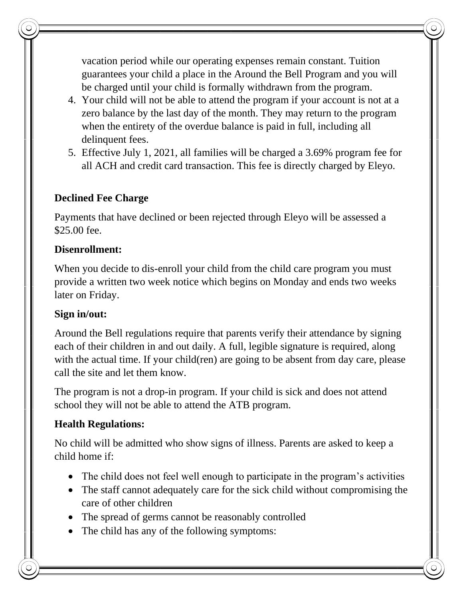vacation period while our operating expenses remain constant. Tuition guarantees your child a place in the Around the Bell Program and you will be charged until your child is formally withdrawn from the program.

- 4. Your child will not be able to attend the program if your account is not at a zero balance by the last day of the month. They may return to the program when the entirety of the overdue balance is paid in full, including all delinquent fees.
- 5. Effective July 1, 2021, all families will be charged a 3.69% program fee for all ACH and credit card transaction. This fee is directly charged by Eleyo.

# **Declined Fee Charge**

Payments that have declined or been rejected through Eleyo will be assessed a \$25.00 fee.

## **Disenrollment:**

When you decide to dis-enroll your child from the child care program you must provide a written two week notice which begins on Monday and ends two weeks later on Friday.

## **Sign in/out:**

Around the Bell regulations require that parents verify their attendance by signing each of their children in and out daily. A full, legible signature is required, along with the actual time. If your child(ren) are going to be absent from day care, please call the site and let them know.

The program is not a drop-in program. If your child is sick and does not attend school they will not be able to attend the ATB program.

## **Health Regulations:**

No child will be admitted who show signs of illness. Parents are asked to keep a child home if:

- The child does not feel well enough to participate in the program's activities
- The staff cannot adequately care for the sick child without compromising the care of other children
- The spread of germs cannot be reasonably controlled
- The child has any of the following symptoms: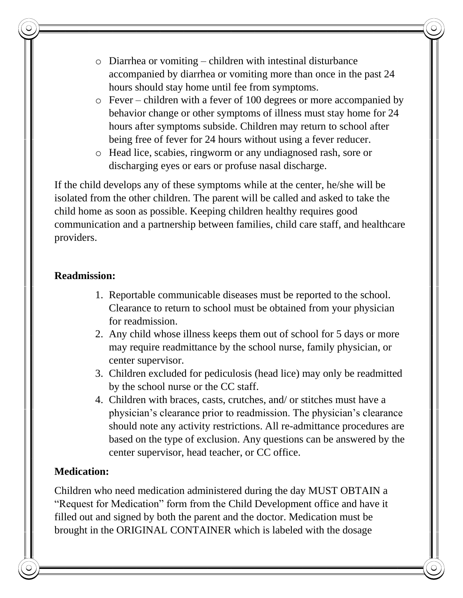- o Diarrhea or vomiting children with intestinal disturbance accompanied by diarrhea or vomiting more than once in the past 24 hours should stay home until fee from symptoms.
- o Fever children with a fever of 100 degrees or more accompanied by behavior change or other symptoms of illness must stay home for 24 hours after symptoms subside. Children may return to school after being free of fever for 24 hours without using a fever reducer.
- o Head lice, scabies, ringworm or any undiagnosed rash, sore or discharging eyes or ears or profuse nasal discharge.

If the child develops any of these symptoms while at the center, he/she will be isolated from the other children. The parent will be called and asked to take the child home as soon as possible. Keeping children healthy requires good communication and a partnership between families, child care staff, and healthcare providers.

#### **Readmission:**

- 1. Reportable communicable diseases must be reported to the school. Clearance to return to school must be obtained from your physician for readmission.
- 2. Any child whose illness keeps them out of school for 5 days or more may require readmittance by the school nurse, family physician, or center supervisor.
- 3. Children excluded for pediculosis (head lice) may only be readmitted by the school nurse or the CC staff.
- 4. Children with braces, casts, crutches, and/ or stitches must have a physician's clearance prior to readmission. The physician's clearance should note any activity restrictions. All re-admittance procedures are based on the type of exclusion. Any questions can be answered by the center supervisor, head teacher, or CC office.

## **Medication:**

Children who need medication administered during the day MUST OBTAIN a "Request for Medication" form from the Child Development office and have it filled out and signed by both the parent and the doctor. Medication must be brought in the ORIGINAL CONTAINER which is labeled with the dosage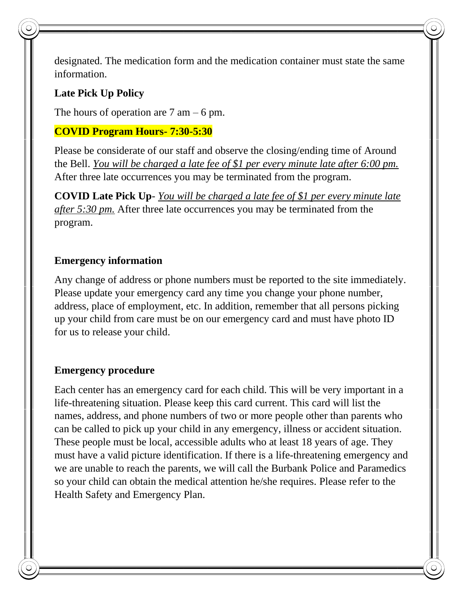designated. The medication form and the medication container must state the same information.

#### **Late Pick Up Policy**

The hours of operation are  $7 \text{ am} - 6 \text{ pm}$ .

#### **COVID Program Hours- 7:30-5:30**

Please be considerate of our staff and observe the closing/ending time of Around the Bell. *You will be charged a late fee of \$1 per every minute late after 6:00 pm.* After three late occurrences you may be terminated from the program.

**COVID Late Pick Up**- *You will be charged a late fee of \$1 per every minute late after 5:30 pm.* After three late occurrences you may be terminated from the program.

#### **Emergency information**

Any change of address or phone numbers must be reported to the site immediately. Please update your emergency card any time you change your phone number, address, place of employment, etc. In addition, remember that all persons picking up your child from care must be on our emergency card and must have photo ID for us to release your child.

#### **Emergency procedure**

Each center has an emergency card for each child. This will be very important in a life-threatening situation. Please keep this card current. This card will list the names, address, and phone numbers of two or more people other than parents who can be called to pick up your child in any emergency, illness or accident situation. These people must be local, accessible adults who at least 18 years of age. They must have a valid picture identification. If there is a life-threatening emergency and we are unable to reach the parents, we will call the Burbank Police and Paramedics so your child can obtain the medical attention he/she requires. Please refer to the Health Safety and Emergency Plan.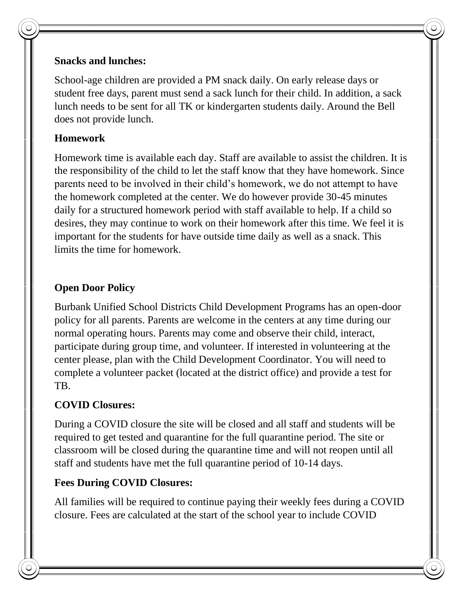## **Snacks and lunches:**

School-age children are provided a PM snack daily. On early release days or student free days, parent must send a sack lunch for their child. In addition, a sack lunch needs to be sent for all TK or kindergarten students daily. Around the Bell does not provide lunch.

## **Homework**

Homework time is available each day. Staff are available to assist the children. It is the responsibility of the child to let the staff know that they have homework. Since parents need to be involved in their child's homework, we do not attempt to have the homework completed at the center. We do however provide 30-45 minutes daily for a structured homework period with staff available to help. If a child so desires, they may continue to work on their homework after this time. We feel it is important for the students for have outside time daily as well as a snack. This limits the time for homework.

# **Open Door Policy**

Burbank Unified School Districts Child Development Programs has an open-door policy for all parents. Parents are welcome in the centers at any time during our normal operating hours. Parents may come and observe their child, interact, participate during group time, and volunteer. If interested in volunteering at the center please, plan with the Child Development Coordinator. You will need to complete a volunteer packet (located at the district office) and provide a test for TB.

# **COVID Closures:**

During a COVID closure the site will be closed and all staff and students will be required to get tested and quarantine for the full quarantine period. The site or classroom will be closed during the quarantine time and will not reopen until all staff and students have met the full quarantine period of 10-14 days.

## **Fees During COVID Closures:**

All families will be required to continue paying their weekly fees during a COVID closure. Fees are calculated at the start of the school year to include COVID